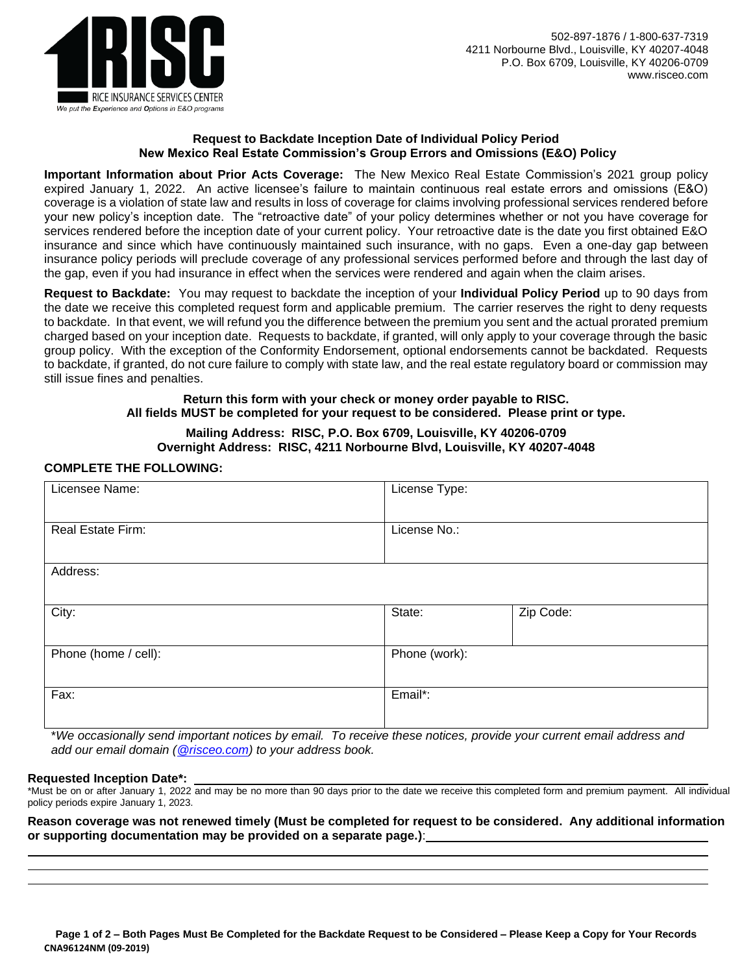

#### **Request to Backdate Inception Date of Individual Policy Period New Mexico Real Estate Commission's Group Errors and Omissions (E&O) Policy**

**Important Information about Prior Acts Coverage:** The New Mexico Real Estate Commission's 2021 group policy expired January 1, 2022. An active licensee's failure to maintain continuous real estate errors and omissions (E&O) coverage is a violation of state law and results in loss of coverage for claims involving professional services rendered before your new policy's inception date. The "retroactive date" of your policy determines whether or not you have coverage for services rendered before the inception date of your current policy. Your retroactive date is the date you first obtained E&O insurance and since which have continuously maintained such insurance, with no gaps. Even a one-day gap between insurance policy periods will preclude coverage of any professional services performed before and through the last day of the gap, even if you had insurance in effect when the services were rendered and again when the claim arises.

**Request to Backdate:** You may request to backdate the inception of your **Individual Policy Period** up to 90 days from the date we receive this completed request form and applicable premium. The carrier reserves the right to deny requests to backdate. In that event, we will refund you the difference between the premium you sent and the actual prorated premium charged based on your inception date. Requests to backdate, if granted, will only apply to your coverage through the basic group policy. With the exception of the Conformity Endorsement, optional endorsements cannot be backdated. Requests to backdate, if granted, do not cure failure to comply with state law, and the real estate regulatory board or commission may still issue fines and penalties.

#### **Return this form with your check or money order payable to RISC. All fields MUST be completed for your request to be considered. Please print or type.**

# **Mailing Address: RISC, P.O. Box 6709, Louisville, KY 40206-0709 Overnight Address: RISC, 4211 Norbourne Blvd, Louisville, KY 40207-4048**

# **COMPLETE THE FOLLOWING:**

| Licensee Name:       | License Type: |           |
|----------------------|---------------|-----------|
| Real Estate Firm:    | License No.:  |           |
| Address:             |               |           |
| City:                | State:        | Zip Code: |
| Phone (home / cell): | Phone (work): |           |
| Fax:                 | Email*:       |           |

\**We occasionally send important notices by email. To receive these notices, provide your current email address and add our email domain [\(@risceo.com\)](mailto:policyadministrator@risceo.com) to your address book.*

#### **Requested Inception Date\*:**

\*Must be on or after January 1, 2022 and may be no more than 90 days prior to the date we receive this completed form and premium payment. All individual policy periods expire January 1, 2023.

**Reason coverage was not renewed timely (Must be completed for request to be considered. Any additional information or supporting documentation may be provided on a separate page.)**: